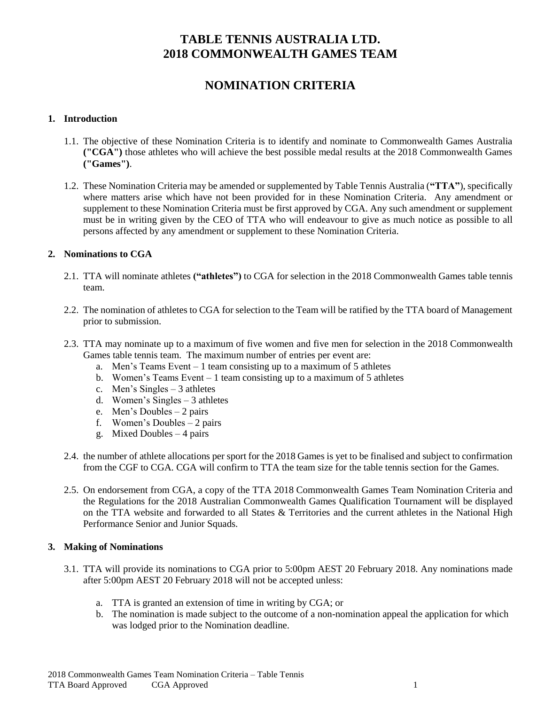# **NOMINATION CRITERIA**

### **1. Introduction**

- 1.1. The objective of these Nomination Criteria is to identify and nominate to Commonwealth Games Australia **("CGA")** those athletes who will achieve the best possible medal results at the 2018 Commonwealth Games **("Games")**.
- 1.2. These Nomination Criteria may be amended or supplemented by Table Tennis Australia (**"TTA"**), specifically where matters arise which have not been provided for in these Nomination Criteria. Any amendment or supplement to these Nomination Criteria must be first approved by CGA. Any such amendment or supplement must be in writing given by the CEO of TTA who will endeavour to give as much notice as possible to all persons affected by any amendment or supplement to these Nomination Criteria.

### **2. Nominations to CGA**

- 2.1. TTA will nominate athletes **("athletes")** to CGA for selection in the 2018 Commonwealth Games table tennis team.
- 2.2. The nomination of athletes to CGA for selection to the Team will be ratified by the TTA board of Management prior to submission.
- 2.3. TTA may nominate up to a maximum of five women and five men for selection in the 2018 Commonwealth Games table tennis team. The maximum number of entries per event are:
	- a. Men's Teams Event 1 team consisting up to a maximum of 5 athletes
	- b. Women's Teams Event 1 team consisting up to a maximum of 5 athletes
	- c. Men's Singles 3 athletes
	- d. Women's Singles 3 athletes
	- e. Men's Doubles 2 pairs
	- f. Women's Doubles 2 pairs
	- g. Mixed Doubles 4 pairs
- 2.4. the number of athlete allocations per sport for the 2018 Games is yet to be finalised and subject to confirmation from the CGF to CGA. CGA will confirm to TTA the team size for the table tennis section for the Games.
- 2.5. On endorsement from CGA, a copy of the TTA 2018 Commonwealth Games Team Nomination Criteria and the Regulations for the 2018 Australian Commonwealth Games Qualification Tournament will be displayed on the TTA website and forwarded to all States & Territories and the current athletes in the National High Performance Senior and Junior Squads.

#### **3. Making of Nominations**

- 3.1. TTA will provide its nominations to CGA prior to 5:00pm AEST 20 February 2018. Any nominations made after 5:00pm AEST 20 February 2018 will not be accepted unless:
	- a. TTA is granted an extension of time in writing by CGA; or
	- b. The nomination is made subject to the outcome of a non-nomination appeal the application for which was lodged prior to the Nomination deadline.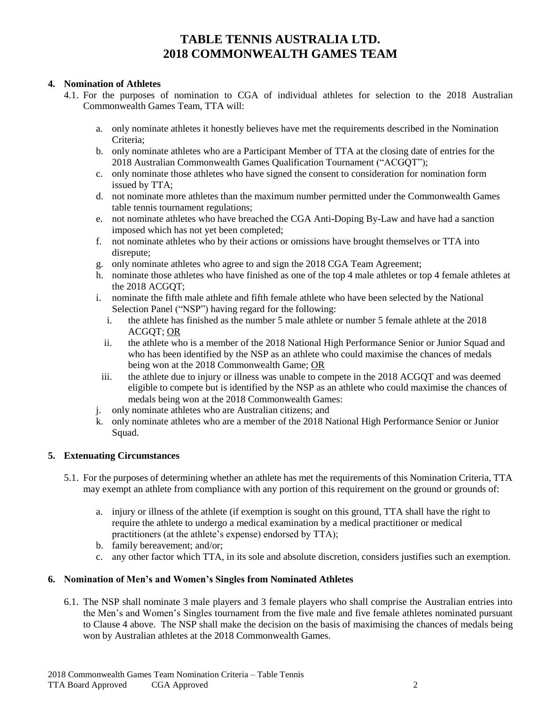#### **4. Nomination of Athletes**

- 4.1. For the purposes of nomination to CGA of individual athletes for selection to the 2018 Australian Commonwealth Games Team, TTA will:
	- a. only nominate athletes it honestly believes have met the requirements described in the Nomination Criteria;
	- b. only nominate athletes who are a Participant Member of TTA at the closing date of entries for the 2018 Australian Commonwealth Games Qualification Tournament ("ACGQT");
	- c. only nominate those athletes who have signed the consent to consideration for nomination form issued by TTA;
	- d. not nominate more athletes than the maximum number permitted under the Commonwealth Games table tennis tournament regulations;
	- e. not nominate athletes who have breached the CGA Anti-Doping By-Law and have had a sanction imposed which has not yet been completed;
	- f. not nominate athletes who by their actions or omissions have brought themselves or TTA into disrepute;
	- g. only nominate athletes who agree to and sign the 2018 CGA Team Agreement;
	- h. nominate those athletes who have finished as one of the top 4 male athletes or top 4 female athletes at the 2018 ACGOT:
	- i. nominate the fifth male athlete and fifth female athlete who have been selected by the National Selection Panel ("NSP") having regard for the following:
		- i. the athlete has finished as the number 5 male athlete or number 5 female athlete at the 2018 ACGQT; OR
		- ii. the athlete who is a member of the 2018 National High Performance Senior or Junior Squad and who has been identified by the NSP as an athlete who could maximise the chances of medals being won at the 2018 Commonwealth Game; OR
	- iii. the athlete due to injury or illness was unable to compete in the 2018 ACGQT and was deemed eligible to compete but is identified by the NSP as an athlete who could maximise the chances of medals being won at the 2018 Commonwealth Games:
	- j. only nominate athletes who are Australian citizens; and
	- k. only nominate athletes who are a member of the 2018 National High Performance Senior or Junior Squad.

### **5. Extenuating Circumstances**

- 5.1. For the purposes of determining whether an athlete has met the requirements of this Nomination Criteria, TTA may exempt an athlete from compliance with any portion of this requirement on the ground or grounds of:
	- a. injury or illness of the athlete (if exemption is sought on this ground, TTA shall have the right to require the athlete to undergo a medical examination by a medical practitioner or medical practitioners (at the athlete's expense) endorsed by TTA);
	- b. family bereavement; and/or;
	- c. any other factor which TTA, in its sole and absolute discretion, considers justifies such an exemption.

#### **6. Nomination of Men's and Women's Singles from Nominated Athletes**

6.1. The NSP shall nominate 3 male players and 3 female players who shall comprise the Australian entries into the Men's and Women's Singles tournament from the five male and five female athletes nominated pursuant to Clause 4 above. The NSP shall make the decision on the basis of maximising the chances of medals being won by Australian athletes at the 2018 Commonwealth Games.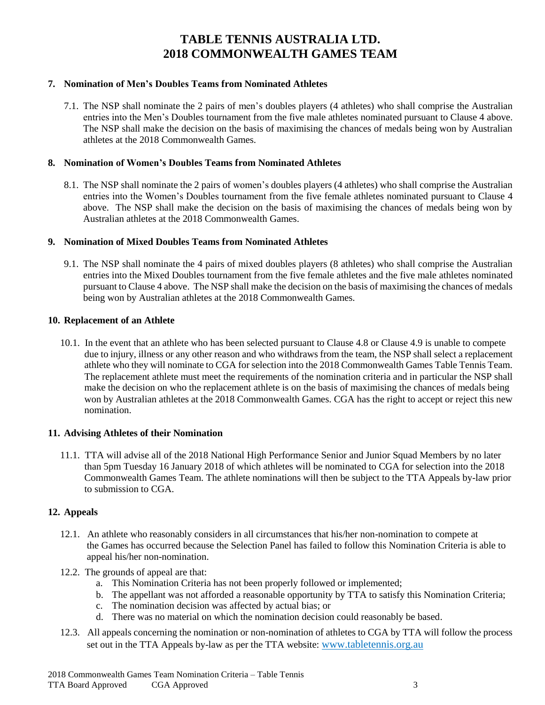### **7. Nomination of Men's Doubles Teams from Nominated Athletes**

7.1. The NSP shall nominate the 2 pairs of men's doubles players (4 athletes) who shall comprise the Australian entries into the Men's Doubles tournament from the five male athletes nominated pursuant to Clause 4 above. The NSP shall make the decision on the basis of maximising the chances of medals being won by Australian athletes at the 2018 Commonwealth Games.

#### **8. Nomination of Women's Doubles Teams from Nominated Athletes**

8.1. The NSP shall nominate the 2 pairs of women's doubles players (4 athletes) who shall comprise the Australian entries into the Women's Doubles tournament from the five female athletes nominated pursuant to Clause 4 above. The NSP shall make the decision on the basis of maximising the chances of medals being won by Australian athletes at the 2018 Commonwealth Games.

### **9. Nomination of Mixed Doubles Teams from Nominated Athletes**

9.1. The NSP shall nominate the 4 pairs of mixed doubles players (8 athletes) who shall comprise the Australian entries into the Mixed Doubles tournament from the five female athletes and the five male athletes nominated pursuant to Clause 4 above. The NSP shall make the decision on the basis of maximising the chances of medals being won by Australian athletes at the 2018 Commonwealth Games.

#### **10. Replacement of an Athlete**

10.1. In the event that an athlete who has been selected pursuant to Clause 4.8 or Clause 4.9 is unable to compete due to injury, illness or any other reason and who withdraws from the team, the NSP shall select a replacement athlete who they will nominate to CGA for selection into the 2018 Commonwealth Games Table Tennis Team. The replacement athlete must meet the requirements of the nomination criteria and in particular the NSP shall make the decision on who the replacement athlete is on the basis of maximising the chances of medals being won by Australian athletes at the 2018 Commonwealth Games. CGA has the right to accept or reject this new nomination.

### **11. Advising Athletes of their Nomination**

11.1. TTA will advise all of the 2018 National High Performance Senior and Junior Squad Members by no later than 5pm Tuesday 16 January 2018 of which athletes will be nominated to CGA for selection into the 2018 Commonwealth Games Team. The athlete nominations will then be subject to the TTA Appeals by-law prior to submission to CGA.

#### **12. Appeals**

- 12.1. An athlete who reasonably considers in all circumstances that his/her non-nomination to compete at the Games has occurred because the Selection Panel has failed to follow this Nomination Criteria is able to appeal his/her non-nomination.
- 12.2. The grounds of appeal are that:
	- a. This Nomination Criteria has not been properly followed or implemented;
	- b. The appellant was not afforded a reasonable opportunity by TTA to satisfy this Nomination Criteria;
	- c. The nomination decision was affected by actual bias; or
	- d. There was no material on which the nomination decision could reasonably be based.
- 12.3. All appeals concerning the nomination or non-nomination of athletes to CGA by TTA will follow the process set out in the TTA Appeals by-law as per the TTA website: [www.tabletennis.org.au](http://www.tabletennis.org.au/)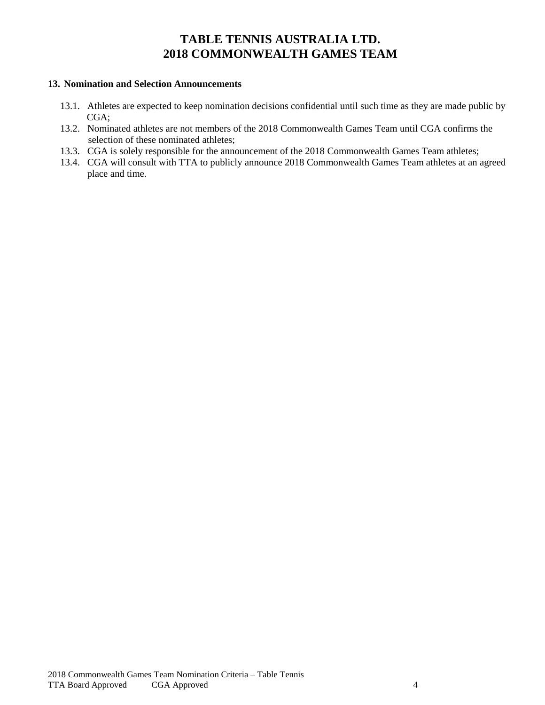### **13. Nomination and Selection Announcements**

- 13.1. Athletes are expected to keep nomination decisions confidential until such time as they are made public by CGA;
- 13.2. Nominated athletes are not members of the 2018 Commonwealth Games Team until CGA confirms the selection of these nominated athletes;
- 13.3. CGA is solely responsible for the announcement of the 2018 Commonwealth Games Team athletes;
- 13.4. CGA will consult with TTA to publicly announce 2018 Commonwealth Games Team athletes at an agreed place and time.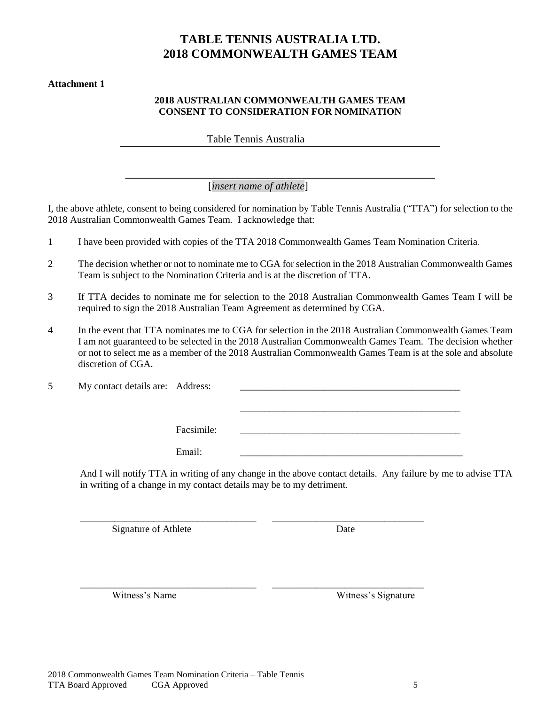#### **Attachment 1**

#### **2018 AUSTRALIAN COMMONWEALTH GAMES TEAM CONSENT TO CONSIDERATION FOR NOMINATION**

Table Tennis Australia

\_\_\_\_\_\_\_\_\_\_\_\_\_\_\_\_\_\_\_\_\_\_\_\_\_\_\_\_\_\_\_\_\_\_\_\_\_\_\_\_\_\_\_\_\_\_\_\_\_\_\_\_\_\_\_\_\_\_ [*insert name of athlete*]

I, the above athlete, consent to being considered for nomination by Table Tennis Australia ("TTA") for selection to the 2018 Australian Commonwealth Games Team. I acknowledge that:

- 1 I have been provided with copies of the TTA 2018 Commonwealth Games Team Nomination Criteria.
- 2 The decision whether or not to nominate me to CGA for selection in the 2018 Australian Commonwealth Games Team is subject to the Nomination Criteria and is at the discretion of TTA.
- 3 If TTA decides to nominate me for selection to the 2018 Australian Commonwealth Games Team I will be required to sign the 2018 Australian Team Agreement as determined by CGA.
- 4 In the event that TTA nominates me to CGA for selection in the 2018 Australian Commonwealth Games Team I am not guaranteed to be selected in the 2018 Australian Commonwealth Games Team. The decision whether or not to select me as a member of the 2018 Australian Commonwealth Games Team is at the sole and absolute discretion of CGA.

5 My contact details are: Address: \_\_\_\_\_\_\_\_\_\_\_\_\_\_\_\_\_\_\_\_\_\_\_\_\_\_\_\_\_\_\_\_\_\_\_\_\_\_\_\_\_\_\_\_\_ Facsimile: Email: \_\_\_\_\_\_\_\_\_\_\_\_\_\_\_\_\_\_\_\_\_\_\_\_\_\_\_\_\_\_\_\_\_\_\_\_\_\_\_\_\_\_\_\_\_\_\_\_\_\_

\_\_\_\_\_\_\_\_\_\_\_\_\_\_\_\_\_\_\_\_\_\_\_\_\_\_\_\_\_\_\_\_\_\_\_\_ \_\_\_\_\_\_\_\_\_\_\_\_\_\_\_\_\_\_\_\_\_\_\_\_\_\_\_\_\_\_\_

\_\_\_\_\_\_\_\_\_\_\_\_\_\_\_\_\_\_\_\_\_\_\_\_\_\_\_\_\_\_\_\_\_\_\_\_ \_\_\_\_\_\_\_\_\_\_\_\_\_\_\_\_\_\_\_\_\_\_\_\_\_\_\_\_\_\_\_

And I will notify TTA in writing of any change in the above contact details. Any failure by me to advise TTA in writing of a change in my contact details may be to my detriment.

Signature of Athlete Date

Witness's Name Witness's Signature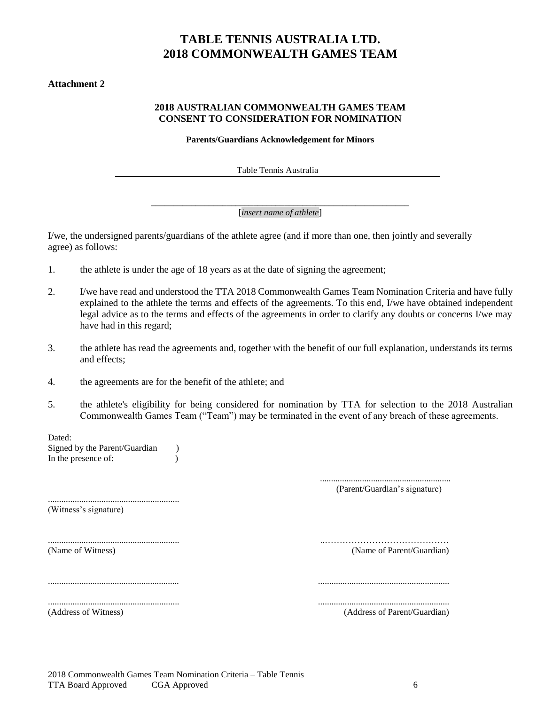#### **Attachment 2**

### **2018 AUSTRALIAN COMMONWEALTH GAMES TEAM CONSENT TO CONSIDERATION FOR NOMINATION**

**Parents/Guardians Acknowledgement for Minors**

Table Tennis Australia

\_\_\_\_\_\_\_\_\_\_\_\_\_\_\_\_\_\_\_\_\_\_\_\_\_\_\_\_\_\_\_\_\_\_\_\_\_\_\_\_\_\_\_\_\_\_\_\_\_\_\_\_\_\_\_\_\_\_ [*insert name of athlete*]

I/we, the undersigned parents/guardians of the athlete agree (and if more than one, then jointly and severally agree) as follows:

- 1. the athlete is under the age of 18 years as at the date of signing the agreement;
- 2. I/we have read and understood the TTA 2018 Commonwealth Games Team Nomination Criteria and have fully explained to the athlete the terms and effects of the agreements. To this end, I/we have obtained independent legal advice as to the terms and effects of the agreements in order to clarify any doubts or concerns I/we may have had in this regard;
- 3. the athlete has read the agreements and, together with the benefit of our full explanation, understands its terms and effects;
- 4. the agreements are for the benefit of the athlete; and
- 5. the athlete's eligibility for being considered for nomination by TTA for selection to the 2018 Australian Commonwealth Games Team ("Team") may be terminated in the event of any breach of these agreements.

........................................................... ..……………………………………

........................................................... ...........................................................

Dated:

Signed by the Parent/Guardian (1) In the presence of:

> ........................................................... (Parent/Guardian's signature)

........................................................... (Witness's signature)

(Name of Witness) (Name of Parent/Guardian)

........................................................... ...........................................................

(Address of Witness) (Address of Parent/Guardian)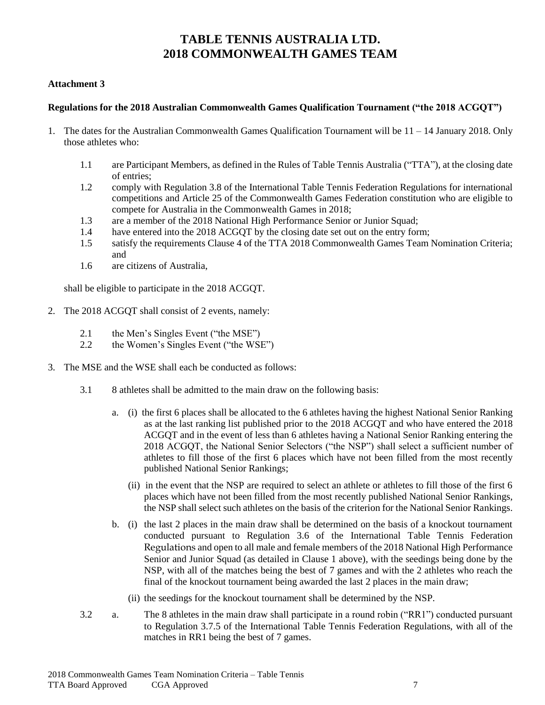#### **Attachment 3**

## **Regulations for the 2018 Australian Commonwealth Games Qualification Tournament ("the 2018 ACGQT")**

- 1. The dates for the Australian Commonwealth Games Qualification Tournament will be 11 14 January 2018. Only those athletes who:
	- 1.1 are Participant Members, as defined in the Rules of Table Tennis Australia ("TTA"), at the closing date of entries;
	- 1.2 comply with Regulation 3.8 of the International Table Tennis Federation Regulations for international competitions and Article 25 of the Commonwealth Games Federation constitution who are eligible to compete for Australia in the Commonwealth Games in 2018;
	- 1.3 are a member of the 2018 National High Performance Senior or Junior Squad;
	- 1.4 have entered into the 2018 ACGQT by the closing date set out on the entry form;
	- 1.5 satisfy the requirements Clause 4 of the TTA 2018 Commonwealth Games Team Nomination Criteria; and
	- 1.6 are citizens of Australia,

shall be eligible to participate in the 2018 ACGQT.

- 2. The 2018 ACGQT shall consist of 2 events, namely:
	- 2.1 the Men's Singles Event ("the MSE")
	- 2.2 the Women's Singles Event ("the WSE")
- 3. The MSE and the WSE shall each be conducted as follows:
	- 3.1 8 athletes shall be admitted to the main draw on the following basis:
		- a. (i) the first 6 places shall be allocated to the 6 athletes having the highest National Senior Ranking as at the last ranking list published prior to the 2018 ACGQT and who have entered the 2018 ACGQT and in the event of less than 6 athletes having a National Senior Ranking entering the 2018 ACGQT, the National Senior Selectors ("the NSP") shall select a sufficient number of athletes to fill those of the first 6 places which have not been filled from the most recently published National Senior Rankings;
			- (ii) in the event that the NSP are required to select an athlete or athletes to fill those of the first 6 places which have not been filled from the most recently published National Senior Rankings, the NSP shall select such athletes on the basis of the criterion for the National Senior Rankings.
		- b. (i) the last 2 places in the main draw shall be determined on the basis of a knockout tournament conducted pursuant to Regulation 3.6 of the International Table Tennis Federation Regulations and open to all male and female members of the 2018 National High Performance Senior and Junior Squad (as detailed in Clause 1 above), with the seedings being done by the NSP, with all of the matches being the best of 7 games and with the 2 athletes who reach the final of the knockout tournament being awarded the last 2 places in the main draw;
			- (ii) the seedings for the knockout tournament shall be determined by the NSP.
	- 3.2 a. The 8 athletes in the main draw shall participate in a round robin ("RR1") conducted pursuant to Regulation 3.7.5 of the International Table Tennis Federation Regulations, with all of the matches in RR1 being the best of 7 games.